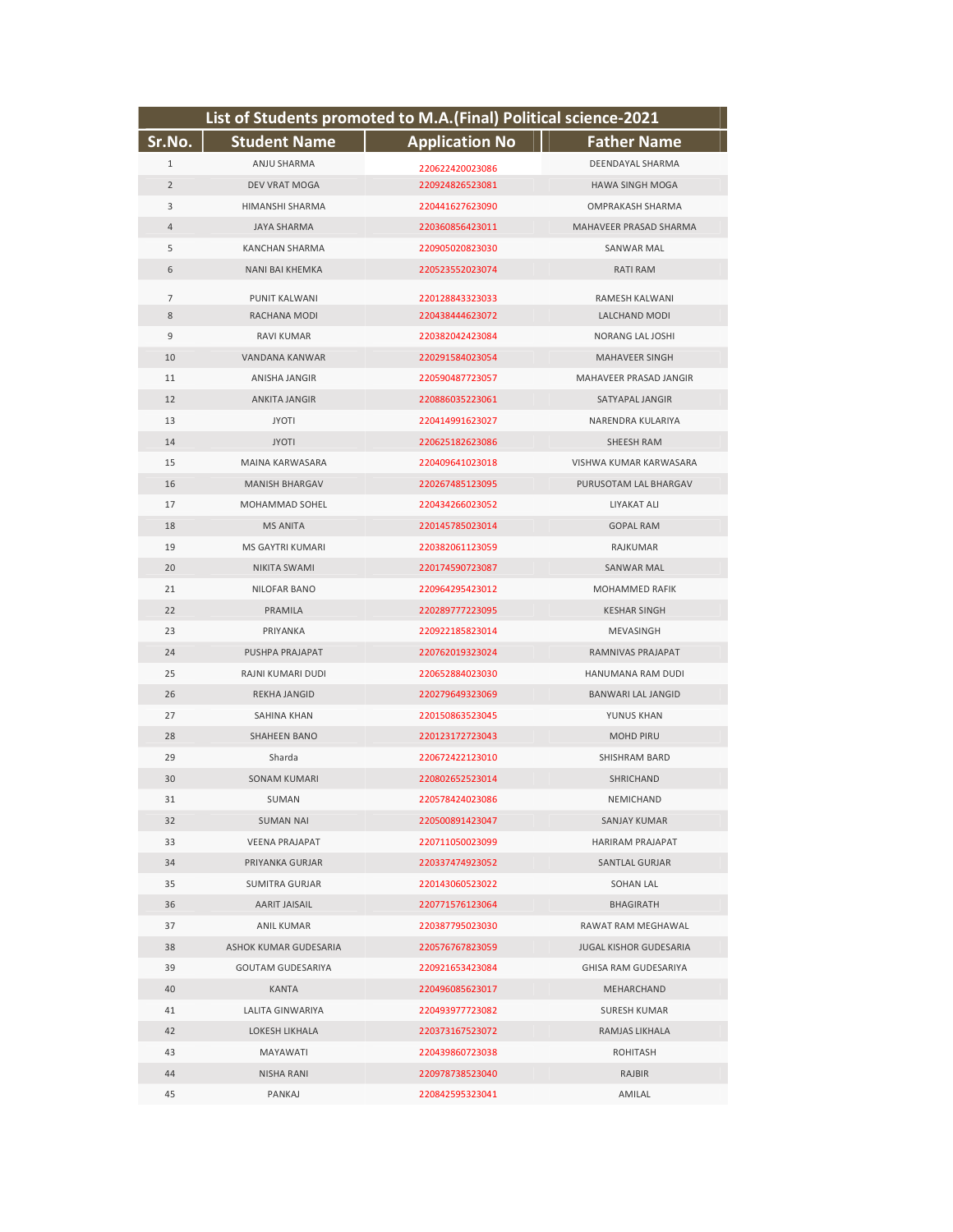| List of Students promoted to M.A.(Final) Political science-2021 |                       |                       |                               |  |
|-----------------------------------------------------------------|-----------------------|-----------------------|-------------------------------|--|
| Sr.No.                                                          | <b>Student Name</b>   | <b>Application No</b> | <b>Father Name</b>            |  |
| 1                                                               | ANJU SHARMA           | 220622420023086       | DEENDAYAL SHARMA              |  |
| $\overline{2}$                                                  | DEV VRAT MOGA         | 220924826523081       | <b>HAWA SINGH MOGA</b>        |  |
| 3                                                               | HIMANSHI SHARMA       | 220441627623090       | OMPRAKASH SHARMA              |  |
| $\overline{4}$                                                  | <b>JAYA SHARMA</b>    | 220360856423011       | MAHAVEER PRASAD SHARMA        |  |
| 5                                                               | <b>KANCHAN SHARMA</b> | 220905020823030       | <b>SANWAR MAL</b>             |  |
| 6                                                               | NANI BAI KHEMKA       | 220523552023074       | <b>RATI RAM</b>               |  |
| 7                                                               | <b>PUNIT KALWANI</b>  | 220128843323033       | RAMESH KALWANI                |  |
| 8                                                               | RACHANA MODI          | 220438444623072       | LALCHAND MODI                 |  |
| 9                                                               | <b>RAVI KUMAR</b>     | 220382042423084       | NORANG LAL JOSHI              |  |
| 10                                                              | VANDANA KANWAR        | 220291584023054       | <b>MAHAVEER SINGH</b>         |  |
| 11                                                              | <b>ANISHA JANGIR</b>  | 220590487723057       | MAHAVEER PRASAD JANGIR        |  |
| 12                                                              | <b>ANKITA JANGIR</b>  | 220886035223061       | SATYAPAL JANGIR               |  |
| 13                                                              | <b>JYOTI</b>          | 220414991623027       | NARENDRA KULARIYA             |  |
| 14                                                              | <b>JYOTI</b>          | 220625182623086       | SHEESH RAM                    |  |
| 15                                                              | MAINA KARWASARA       | 220409641023018       | VISHWA KUMAR KARWASARA        |  |
| 16                                                              | <b>MANISH BHARGAV</b> | 220267485123095       | PURUSOTAM LAL BHARGAV         |  |
| 17                                                              | MOHAMMAD SOHEL        | 220434266023052       | LIYAKAT ALI                   |  |
| 18                                                              | <b>MS ANITA</b>       | 220145785023014       | <b>GOPAL RAM</b>              |  |
| 19                                                              | MS GAYTRI KUMARI      | 220382061123059       | RAJKUMAR                      |  |
| 20                                                              | NIKITA SWAMI          | 220174590723087       | <b>SANWAR MAL</b>             |  |
| 21                                                              | <b>NILOFAR BANO</b>   | 220964295423012       | MOHAMMED RAFIK                |  |
| 22                                                              | PRAMILA               | 220289777223095       | <b>KESHAR SINGH</b>           |  |
| 23                                                              | PRIYANKA              | 220922185823014       | MEVASINGH                     |  |
| 24                                                              | PUSHPA PRAJAPAT       | 220762019323024       | RAMNIVAS PRAJAPAT             |  |
| 25                                                              | RAJNI KUMARI DUDI     | 220652884023030       | HANUMANA RAM DUDI             |  |
| 26                                                              | REKHA JANGID          | 220279649323069       | <b>BANWARI LAL JANGID</b>     |  |
| 27                                                              | SAHINA KHAN           | 220150863523045       | YUNUS KHAN                    |  |
| 28                                                              | <b>SHAHEEN BANO</b>   | 220123172723043       | <b>MOHD PIRU</b>              |  |
| 29                                                              | Sharda                | 220672422123010       | SHISHRAM BARD                 |  |
| 30                                                              | <b>SONAM KUMARI</b>   | 220802652523014       | <b>SHRICHAND</b>              |  |
| 31                                                              | SUMAN                 | 220578424023086       | NEMICHAND                     |  |
| 32                                                              | <b>SUMAN NAI</b>      | 220500891423047       | <b>SANJAY KUMAR</b>           |  |
| 33                                                              | <b>VEENA PRAJAPAT</b> | 220711050023099       | HARIRAM PRAJAPAT              |  |
| 34                                                              | PRIYANKA GURJAR       | 220337474923052       | SANTLAL GURJAR                |  |
| 35                                                              | SUMITRA GURJAR        | 220143060523022       | SOHAN LAL                     |  |
| 36                                                              | AARIT JAISAIL         | 220771576123064       | BHAGIRATH                     |  |
| 37                                                              | ANIL KUMAR            | 220387795023030       | RAWAT RAM MEGHAWAL            |  |
| 38                                                              | ASHOK KUMAR GUDESARIA | 220576767823059       | <b>JUGAL KISHOR GUDESARIA</b> |  |
| 39                                                              | GOUTAM GUDESARIYA     | 220921653423084       | GHISA RAM GUDESARIYA          |  |
| 40                                                              | KANTA                 | 220496085623017       | <b>MEHARCHAND</b>             |  |
| 41                                                              | LALITA GINWARIYA      | 220493977723082       | SURESH KUMAR                  |  |
| 42                                                              | LOKESH LIKHALA        | 220373167523072       | RAMJAS LIKHALA                |  |
| 43                                                              | MAYAWATI              | 220439860723038       | ROHITASH                      |  |
| 44                                                              | NISHA RANI            | 220978738523040       | RAJBIR                        |  |
| 45                                                              | PANKAJ                | 220842595323041       | AMILAL                        |  |